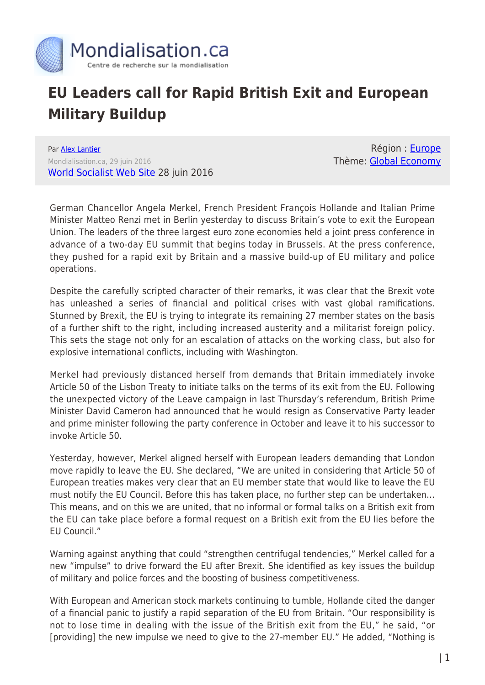

## **EU Leaders call for Rapid British Exit and European Military Buildup**

Par [Alex Lantier](https://www.mondialisation.ca/author/alex-lantier) Mondialisation.ca, 29 juin 2016 [World Socialist Web Site](http://www.wsws.org/en/articles/2016/06/28/euro-j28.html) 28 juin 2016

Région : [Europe](https://www.mondialisation.ca/region/europe) Thème: [Global Economy](https://www.mondialisation.ca/theme/global-economy)

German Chancellor Angela Merkel, French President François Hollande and Italian Prime Minister Matteo Renzi met in Berlin yesterday to discuss Britain's vote to exit the European Union. The leaders of the three largest euro zone economies held a joint press conference in advance of a two-day EU summit that begins today in Brussels. At the press conference, they pushed for a rapid exit by Britain and a massive build-up of EU military and police operations.

Despite the carefully scripted character of their remarks, it was clear that the Brexit vote has unleashed a series of financial and political crises with vast global ramifications. Stunned by Brexit, the EU is trying to integrate its remaining 27 member states on the basis of a further shift to the right, including increased austerity and a militarist foreign policy. This sets the stage not only for an escalation of attacks on the working class, but also for explosive international conflicts, including with Washington.

Merkel had previously distanced herself from demands that Britain immediately invoke Article 50 of the Lisbon Treaty to initiate talks on the terms of its exit from the EU. Following the unexpected victory of the Leave campaign in last Thursday's referendum, British Prime Minister David Cameron had announced that he would resign as Conservative Party leader and prime minister following the party conference in October and leave it to his successor to invoke Article 50.

Yesterday, however, Merkel aligned herself with European leaders demanding that London move rapidly to leave the EU. She declared, "We are united in considering that Article 50 of European treaties makes very clear that an EU member state that would like to leave the EU must notify the EU Council. Before this has taken place, no further step can be undertaken… This means, and on this we are united, that no informal or formal talks on a British exit from the EU can take place before a formal request on a British exit from the EU lies before the EU Council."

Warning against anything that could "strengthen centrifugal tendencies," Merkel called for a new "impulse" to drive forward the EU after Brexit. She identified as key issues the buildup of military and police forces and the boosting of business competitiveness.

With European and American stock markets continuing to tumble, Hollande cited the danger of a financial panic to justify a rapid separation of the EU from Britain. "Our responsibility is not to lose time in dealing with the issue of the British exit from the EU," he said, "or [providing] the new impulse we need to give to the 27-member EU." He added, "Nothing is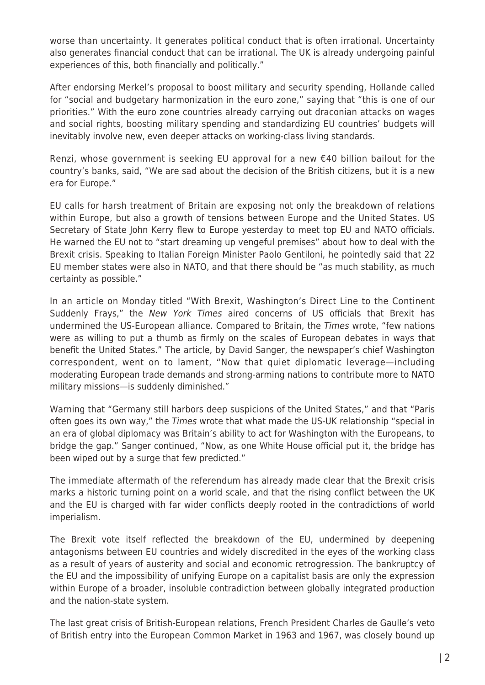worse than uncertainty. It generates political conduct that is often irrational. Uncertainty also generates financial conduct that can be irrational. The UK is already undergoing painful experiences of this, both financially and politically."

After endorsing Merkel's proposal to boost military and security spending, Hollande called for "social and budgetary harmonization in the euro zone," saying that "this is one of our priorities." With the euro zone countries already carrying out draconian attacks on wages and social rights, boosting military spending and standardizing EU countries' budgets will inevitably involve new, even deeper attacks on working-class living standards.

Renzi, whose government is seeking EU approval for a new €40 billion bailout for the country's banks, said, "We are sad about the decision of the British citizens, but it is a new era for Europe."

EU calls for harsh treatment of Britain are exposing not only the breakdown of relations within Europe, but also a growth of tensions between Europe and the United States. US Secretary of State John Kerry flew to Europe yesterday to meet top EU and NATO officials. He warned the EU not to "start dreaming up vengeful premises" about how to deal with the Brexit crisis. Speaking to Italian Foreign Minister Paolo Gentiloni, he pointedly said that 22 EU member states were also in NATO, and that there should be "as much stability, as much certainty as possible."

In an article on Monday titled "With Brexit, Washington's Direct Line to the Continent Suddenly Frays," the New York Times aired concerns of US officials that Brexit has undermined the US-European alliance. Compared to Britain, the Times wrote, "few nations were as willing to put a thumb as firmly on the scales of European debates in ways that benefit the United States." The article, by David Sanger, the newspaper's chief Washington correspondent, went on to lament, "Now that quiet diplomatic leverage—including moderating European trade demands and strong-arming nations to contribute more to NATO military missions—is suddenly diminished."

Warning that "Germany still harbors deep suspicions of the United States," and that "Paris often goes its own way," the Times wrote that what made the US-UK relationship "special in an era of global diplomacy was Britain's ability to act for Washington with the Europeans, to bridge the gap." Sanger continued, "Now, as one White House official put it, the bridge has been wiped out by a surge that few predicted."

The immediate aftermath of the referendum has already made clear that the Brexit crisis marks a historic turning point on a world scale, and that the rising conflict between the UK and the EU is charged with far wider conflicts deeply rooted in the contradictions of world imperialism.

The Brexit vote itself reflected the breakdown of the EU, undermined by deepening antagonisms between EU countries and widely discredited in the eyes of the working class as a result of years of austerity and social and economic retrogression. The bankruptcy of the EU and the impossibility of unifying Europe on a capitalist basis are only the expression within Europe of a broader, insoluble contradiction between globally integrated production and the nation-state system.

The last great crisis of British-European relations, French President Charles de Gaulle's veto of British entry into the European Common Market in 1963 and 1967, was closely bound up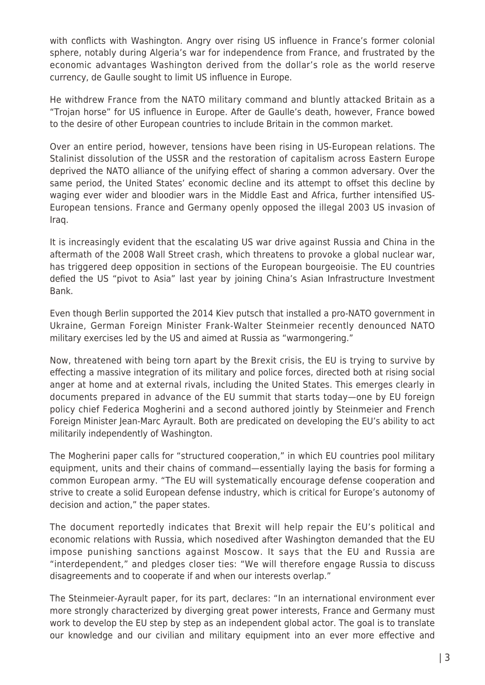with conflicts with Washington. Angry over rising US influence in France's former colonial sphere, notably during Algeria's war for independence from France, and frustrated by the economic advantages Washington derived from the dollar's role as the world reserve currency, de Gaulle sought to limit US influence in Europe.

He withdrew France from the NATO military command and bluntly attacked Britain as a "Trojan horse" for US influence in Europe. After de Gaulle's death, however, France bowed to the desire of other European countries to include Britain in the common market.

Over an entire period, however, tensions have been rising in US-European relations. The Stalinist dissolution of the USSR and the restoration of capitalism across Eastern Europe deprived the NATO alliance of the unifying effect of sharing a common adversary. Over the same period, the United States' economic decline and its attempt to offset this decline by waging ever wider and bloodier wars in the Middle East and Africa, further intensified US-European tensions. France and Germany openly opposed the illegal 2003 US invasion of Iraq.

It is increasingly evident that the escalating US war drive against Russia and China in the aftermath of the 2008 Wall Street crash, which threatens to provoke a global nuclear war, has triggered deep opposition in sections of the European bourgeoisie. The EU countries defied the US "pivot to Asia" last year by joining China's Asian Infrastructure Investment Bank.

Even though Berlin supported the 2014 Kiev putsch that installed a pro-NATO government in Ukraine, German Foreign Minister Frank-Walter Steinmeier recently denounced NATO military exercises led by the US and aimed at Russia as "warmongering."

Now, threatened with being torn apart by the Brexit crisis, the EU is trying to survive by effecting a massive integration of its military and police forces, directed both at rising social anger at home and at external rivals, including the United States. This emerges clearly in documents prepared in advance of the EU summit that starts today—one by EU foreign policy chief Federica Mogherini and a second authored jointly by Steinmeier and French Foreign Minister Jean-Marc Ayrault. Both are predicated on developing the EU's ability to act militarily independently of Washington.

The Mogherini paper calls for "structured cooperation," in which EU countries pool military equipment, units and their chains of command—essentially laying the basis for forming a common European army. "The EU will systematically encourage defense cooperation and strive to create a solid European defense industry, which is critical for Europe's autonomy of decision and action," the paper states.

The document reportedly indicates that Brexit will help repair the EU's political and economic relations with Russia, which nosedived after Washington demanded that the EU impose punishing sanctions against Moscow. It says that the EU and Russia are "interdependent," and pledges closer ties: "We will therefore engage Russia to discuss disagreements and to cooperate if and when our interests overlap."

The Steinmeier-Ayrault paper, for its part, declares: "In an international environment ever more strongly characterized by diverging great power interests, France and Germany must work to develop the EU step by step as an independent global actor. The goal is to translate our knowledge and our civilian and military equipment into an ever more effective and